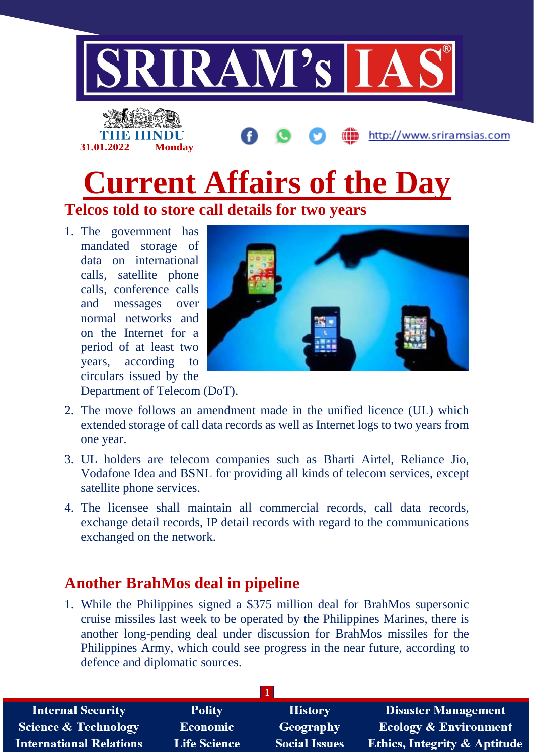

## **Current Affairs of the Day**

**Telcos told to store call details for two years**

1. The government has mandated storage of data on international calls, satellite phone calls, conference calls and messages over normal networks and on the Internet for a period of at least two years, according to circulars issued by the

**31.01.2022 Monday**



- Department of Telecom (DoT).
- 2. The move follows an amendment made in the unified licence (UL) which extended storage of call data records as well as Internet logs to two years from one year.
- 3. UL holders are telecom companies such as Bharti Airtel, Reliance Jio, Vodafone Idea and BSNL for providing all kinds of telecom services, except satellite phone services.
- 4. The licensee shall maintain all commercial records, call data records, exchange detail records, IP detail records with regard to the communications exchanged on the network.

## **Another BrahMos deal in pipeline**

1. While the Philippines signed a \$375 million deal for BrahMos supersonic cruise missiles last week to be operated by the Philippines Marines, there is another long-pending deal under discussion for BrahMos missiles for the Philippines Army, which could see progress in the near future, according to defence and diplomatic sources.

| <b>Internal Security</b>        | <b>Polity</b>       | <b>History</b>       | <b>Disaster Management</b>              |
|---------------------------------|---------------------|----------------------|-----------------------------------------|
| <b>Science &amp; Technology</b> | <b>Economic</b>     | Geography            | <b>Ecology &amp; Environment</b>        |
| <b>International Relations</b>  | <b>Life Science</b> | <b>Social Issues</b> | <b>Ethics, Integrity &amp; Aptitude</b> |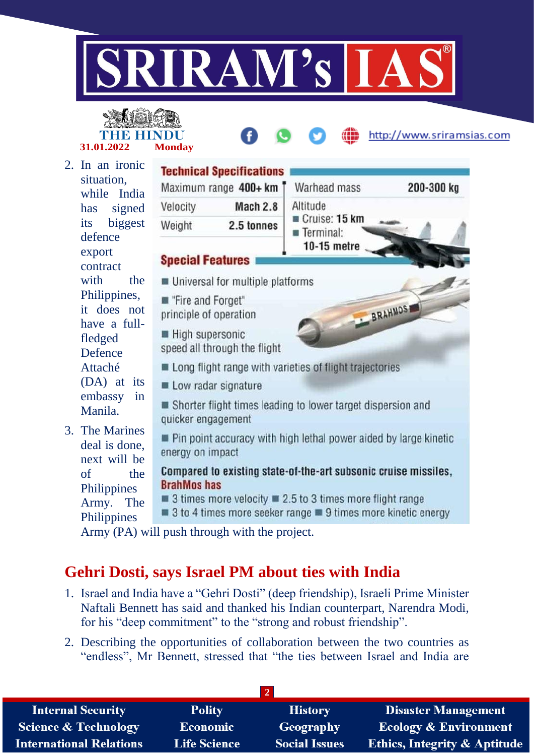

http://www.sriramsias.com



2. In an ironic **Technical Specifications** situation, Maximum range 400+ km 200-300 kg Warhead mass while India Altitude Velocity Mach 2.8 has signed Cruise: 15 km its biggest Weight 2.5 tonnes Terminal: defence 10-15 metre export **Special Features** contract with the Universal for multiple platforms Philippines, ■ "Fire and Forget" BRAHMOST it does not principle of operation have a full-High supersonic fledged speed all through the flight **Defence** Attaché Long flight range with varieties of flight trajectories (DA) at its Low radar signature embassy in Shorter flight times leading to lower target dispersion and Manila. quicker engagement 3. The Marines Pin point accuracy with high lethal power aided by large kinetic deal is done, energy on impact next will be Compared to existing state-of-the-art subsonic cruise missiles, of the **BrahMos has Philippines**  $\blacksquare$  3 times more velocity  $\blacksquare$  2.5 to 3 times more flight range Army. The 3 to 4 times more seeker range 9 times more kinetic energy **Philippines** 

Army (PA) will push through with the project.

### **Gehri Dosti, says Israel PM about ties with India**

- 1. Israel and India have a "Gehri Dosti" (deep friendship), Israeli Prime Minister Naftali Bennett has said and thanked his Indian counterpart, Narendra Modi, for his "deep commitment" to the "strong and robust friendship".
- 2. Describing the opportunities of collaboration between the two countries as "endless", Mr Bennett, stressed that "the ties between Israel and India are

| <b>Internal Security</b>        | <b>Polity</b>       | <b>History</b>       | <b>Disaster Management</b>              |
|---------------------------------|---------------------|----------------------|-----------------------------------------|
| <b>Science &amp; Technology</b> | <b>Economic</b>     | Geography            | <b>Ecology &amp; Environment</b>        |
| <b>International Relations</b>  | <b>Life Science</b> | <b>Social Issues</b> | <b>Ethics, Integrity &amp; Aptitude</b> |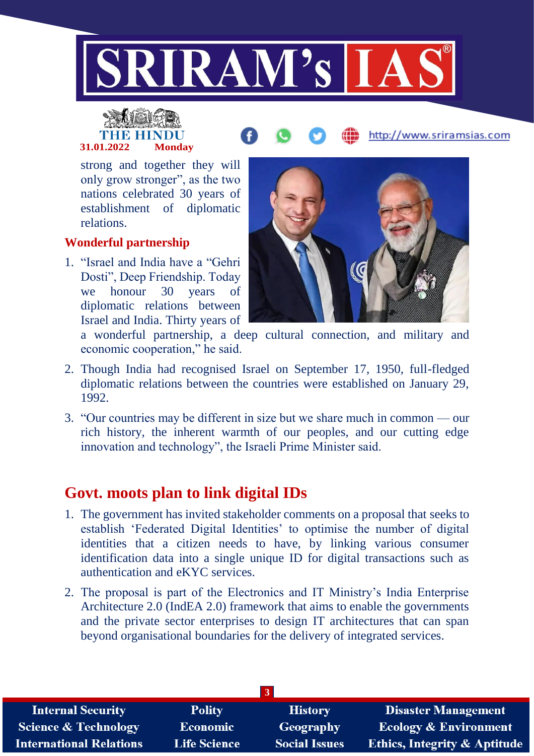

# **31.01.2022 Monday**

http://www.sriramsias.com

strong and together they will only grow stronger", as the two nations celebrated 30 years of establishment of diplomatic relations.

#### **Wonderful partnership**

1. "Israel and India have a "Gehri Dosti", Deep Friendship. Today we honour 30 years of diplomatic relations between Israel and India. Thirty years of



a wonderful partnership, a deep cultural connection, and military and economic cooperation," he said.

- 2. Though India had recognised Israel on September 17, 1950, full-fledged diplomatic relations between the countries were established on January 29, 1992.
- 3. "Our countries may be different in size but we share much in common our rich history, the inherent warmth of our peoples, and our cutting edge innovation and technology", the Israeli Prime Minister said.

## **Govt. moots plan to link digital IDs**

- 1. The government has invited stakeholder comments on a proposal that seeks to establish 'Federated Digital Identities' to optimise the number of digital identities that a citizen needs to have, by linking various consumer identification data into a single unique ID for digital transactions such as authentication and eKYC services.
- 2. The proposal is part of the Electronics and IT Ministry's India Enterprise Architecture 2.0 (IndEA 2.0) framework that aims to enable the governments and the private sector enterprises to design IT architectures that can span beyond organisational boundaries for the delivery of integrated services.

| <b>Internal Security</b>        | <b>Polity</b>       | <b>History</b>       | <b>Disaster Management</b>              |
|---------------------------------|---------------------|----------------------|-----------------------------------------|
| <b>Science &amp; Technology</b> | <b>Economic</b>     | Geography            | <b>Ecology &amp; Environment</b>        |
| <b>International Relations</b>  | <b>Life Science</b> | <b>Social Issues</b> | <b>Ethics, Integrity &amp; Aptitude</b> |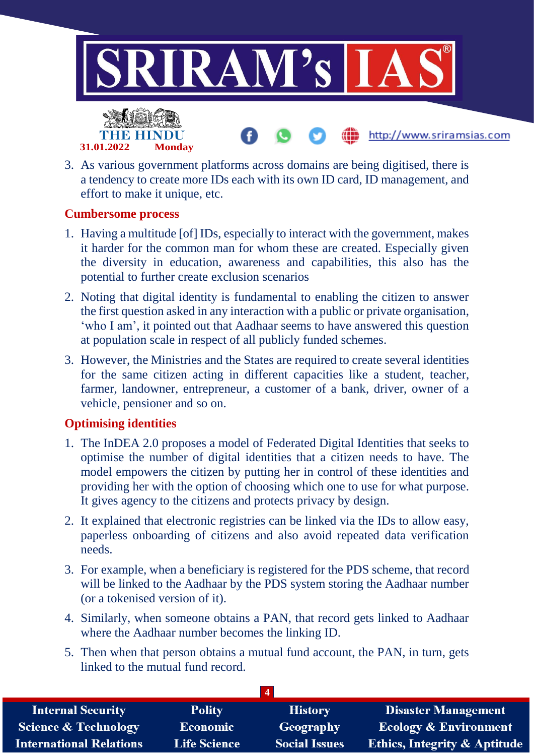

3. As various government platforms across domains are being digitised, there is a tendency to create more IDs each with its own ID card, ID management, and effort to make it unique, etc.

#### **Cumbersome process**

**31.01.2022 Monday**

- 1. Having a multitude [of] IDs, especially to interact with the government, makes it harder for the common man for whom these are created. Especially given the diversity in education, awareness and capabilities, this also has the potential to further create exclusion scenarios
- 2. Noting that digital identity is fundamental to enabling the citizen to answer the first question asked in any interaction with a public or private organisation, 'who I am', it pointed out that Aadhaar seems to have answered this question at population scale in respect of all publicly funded schemes.
- 3. However, the Ministries and the States are required to create several identities for the same citizen acting in different capacities like a student, teacher, farmer, landowner, entrepreneur, a customer of a bank, driver, owner of a vehicle, pensioner and so on.

#### **Optimising identities**

- 1. The InDEA 2.0 proposes a model of Federated Digital Identities that seeks to optimise the number of digital identities that a citizen needs to have. The model empowers the citizen by putting her in control of these identities and providing her with the option of choosing which one to use for what purpose. It gives agency to the citizens and protects privacy by design.
- 2. It explained that electronic registries can be linked via the IDs to allow easy, paperless onboarding of citizens and also avoid repeated data verification needs.
- 3. For example, when a beneficiary is registered for the PDS scheme, that record will be linked to the Aadhaar by the PDS system storing the Aadhaar number (or a tokenised version of it).
- 4. Similarly, when someone obtains a PAN, that record gets linked to Aadhaar where the Aadhaar number becomes the linking ID.
- 5. Then when that person obtains a mutual fund account, the PAN, in turn, gets linked to the mutual fund record.

| <b>Internal Security</b>        | <b>Polity</b>       | <b>History</b>       | <b>Disaster Management</b>              |
|---------------------------------|---------------------|----------------------|-----------------------------------------|
| <b>Science &amp; Technology</b> | <b>Economic</b>     | Geography            | <b>Ecology &amp; Environment</b>        |
| <b>International Relations</b>  | <b>Life Science</b> | <b>Social Issues</b> | <b>Ethics, Integrity &amp; Aptitude</b> |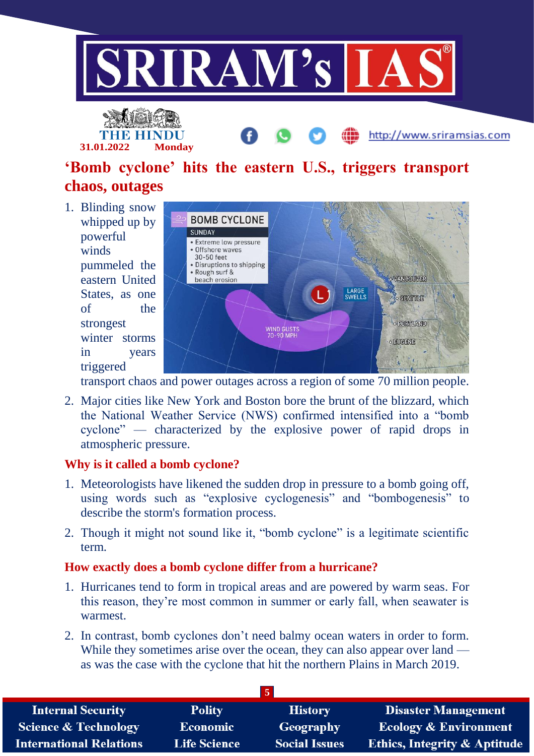

http://www.sriramsias.com



1. Blinding snow **BOMB CYCLONE** whipped up by **SUNDAY** powerful · Extreme low pressure winds · Offshore waves 30-50 feet pummeled the · Disruptions to shipping · Rough surf & **OVANCOUVER** eastern United beach erosion LARGE<br>SWELLS States, as one *<u>COSEATTLE</u>* of the strongest **O PORTILANTO** WIND GUSTS<br>70-90 MPH winter storms **EUGENE** in years triggered

transport chaos and power outages across a region of some 70 million people.

2. Major cities like New York and Boston bore the brunt of the blizzard, which the National Weather Service (NWS) confirmed intensified into a "bomb cyclone" — characterized by the explosive power of rapid drops in atmospheric pressure.

#### **Why is it called a bomb cyclone?**

**31.01.2022 Monday**

- 1. Meteorologists have likened the sudden drop in pressure to a bomb going off, using words such as "explosive cyclogenesis" and "bombogenesis" to describe the storm's formation process.
- 2. Though it might not sound like it, "bomb cyclone" is a legitimate scientific term.

#### **How exactly does a bomb cyclone differ from a hurricane?**

- 1. Hurricanes tend to form in tropical areas and are powered by warm seas. For this reason, they're most common in summer or early fall, when seawater is warmest.
- 2. In contrast, bomb cyclones don't need balmy ocean waters in order to form. While they sometimes arise over the ocean, they can also appear over land as was the case with the cyclone that hit the northern Plains in March 2019.

| <b>Internal Security</b>        | <b>Polity</b>       | <b>History</b>       | Disaster Management                     |
|---------------------------------|---------------------|----------------------|-----------------------------------------|
| <b>Science &amp; Technology</b> | <b>Economic</b>     | Geography            | <b>Ecology &amp; Environment</b>        |
| <b>International Relations</b>  | <b>Life Science</b> | <b>Social Issues</b> | <b>Ethics, Integrity &amp; Aptitude</b> |